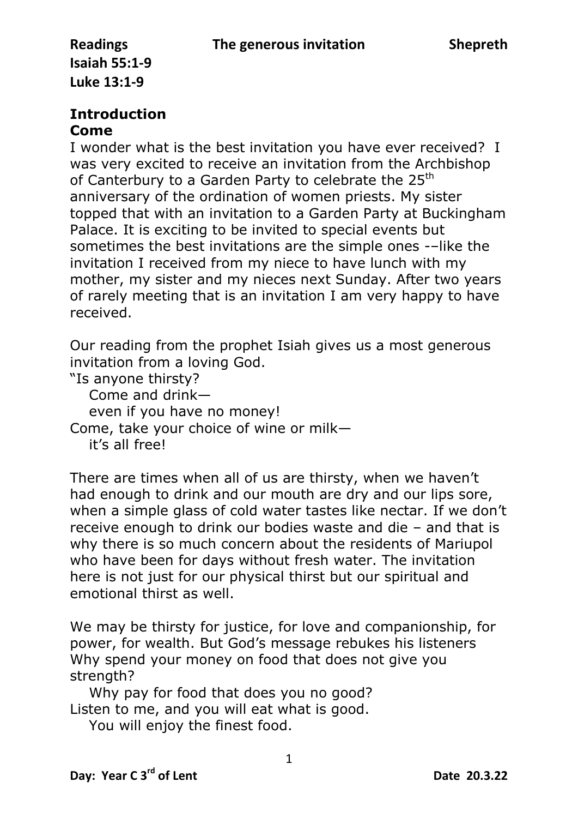## **Introduction**

## **Come**

I wonder what is the best invitation you have ever received? I was very excited to receive an invitation from the Archbishop of Canterbury to a Garden Party to celebrate the 25<sup>th</sup> anniversary of the ordination of women priests. My sister topped that with an invitation to a Garden Party at Buckingham Palace. It is exciting to be invited to special events but sometimes the best invitations are the simple ones -–like the invitation I received from my niece to have lunch with my mother, my sister and my nieces next Sunday. After two years of rarely meeting that is an invitation I am very happy to have received.

Our reading from the prophet Isiah gives us a most generous invitation from a loving God.

"Is anyone thirsty?

Come and drink—

even if you have no money!

Come, take your choice of wine or milk—

it's all free!

There are times when all of us are thirsty, when we haven't had enough to drink and our mouth are dry and our lips sore, when a simple glass of cold water tastes like nectar. If we don't receive enough to drink our bodies waste and die – and that is why there is so much concern about the residents of Mariupol who have been for days without fresh water. The invitation here is not just for our physical thirst but our spiritual and emotional thirst as well.

We may be thirsty for justice, for love and companionship, for power, for wealth. But God's message rebukes his listeners Why spend your money on food that does not give you strength?

 Why pay for food that does you no good? Listen to me, and you will eat what is good.

You will enjoy the finest food.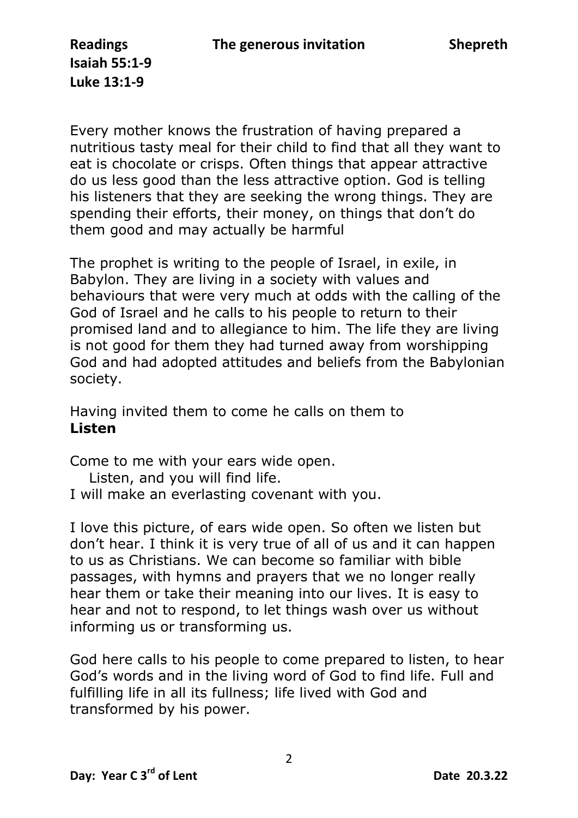Every mother knows the frustration of having prepared a nutritious tasty meal for their child to find that all they want to eat is chocolate or crisps. Often things that appear attractive do us less good than the less attractive option. God is telling his listeners that they are seeking the wrong things. They are spending their efforts, their money, on things that don't do them good and may actually be harmful

The prophet is writing to the people of Israel, in exile, in Babylon. They are living in a society with values and behaviours that were very much at odds with the calling of the God of Israel and he calls to his people to return to their promised land and to allegiance to him. The life they are living is not good for them they had turned away from worshipping God and had adopted attitudes and beliefs from the Babylonian society.

Having invited them to come he calls on them to **Listen**

Come to me with your ears wide open.

 Listen, and you will find life. I will make an everlasting covenant with you.

I love this picture, of ears wide open. So often we listen but don't hear. I think it is very true of all of us and it can happen to us as Christians. We can become so familiar with bible passages, with hymns and prayers that we no longer really hear them or take their meaning into our lives. It is easy to hear and not to respond, to let things wash over us without informing us or transforming us.

God here calls to his people to come prepared to listen, to hear God's words and in the living word of God to find life. Full and fulfilling life in all its fullness; life lived with God and transformed by his power.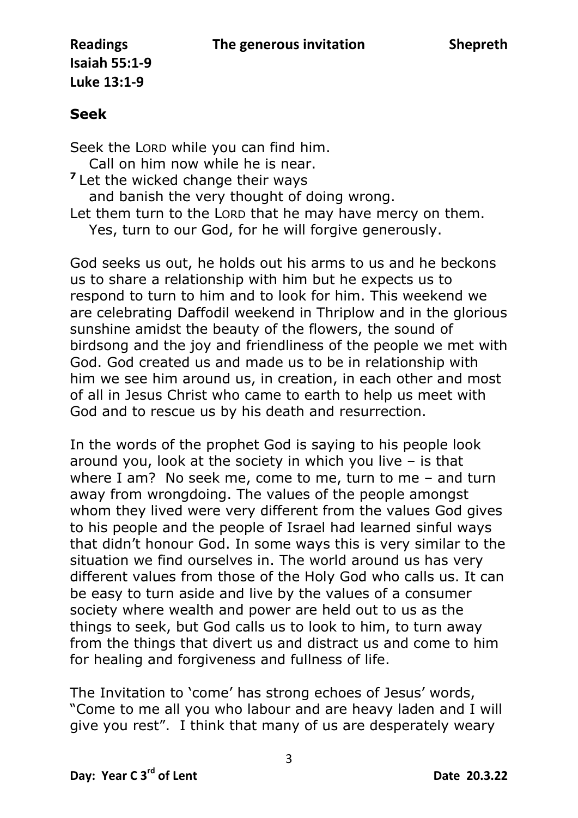## **Seek**

Seek the LORD while you can find him. Call on him now while he is near. <sup>7</sup> Let the wicked change their ways and banish the very thought of doing wrong. Let them turn to the LORD that he may have mercy on them. Yes, turn to our God, for he will forgive generously.

God seeks us out, he holds out his arms to us and he beckons us to share a relationship with him but he expects us to respond to turn to him and to look for him. This weekend we are celebrating Daffodil weekend in Thriplow and in the glorious sunshine amidst the beauty of the flowers, the sound of birdsong and the joy and friendliness of the people we met with God. God created us and made us to be in relationship with him we see him around us, in creation, in each other and most of all in Jesus Christ who came to earth to help us meet with God and to rescue us by his death and resurrection.

In the words of the prophet God is saying to his people look around you, look at the society in which you live – is that where I am? No seek me, come to me, turn to me – and turn away from wrongdoing. The values of the people amongst whom they lived were very different from the values God gives to his people and the people of Israel had learned sinful ways that didn't honour God. In some ways this is very similar to the situation we find ourselves in. The world around us has very different values from those of the Holy God who calls us. It can be easy to turn aside and live by the values of a consumer society where wealth and power are held out to us as the things to seek, but God calls us to look to him, to turn away from the things that divert us and distract us and come to him for healing and forgiveness and fullness of life.

The Invitation to 'come' has strong echoes of Jesus' words, "Come to me all you who labour and are heavy laden and I will give you rest". I think that many of us are desperately weary